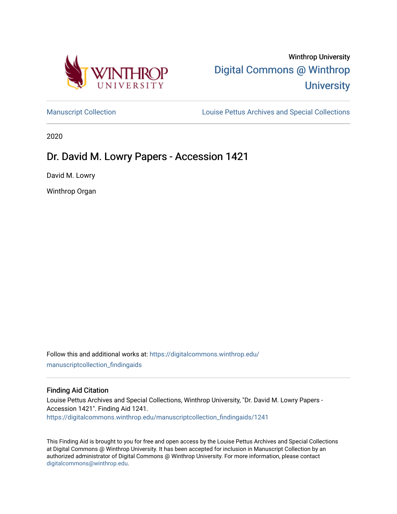

# Winthrop University [Digital Commons @ Winthrop](https://digitalcommons.winthrop.edu/)  **University**

[Manuscript Collection](https://digitalcommons.winthrop.edu/manuscriptcollection_findingaids) **Louise Pettus Archives and Special Collections** 

2020

## Dr. David M. Lowry Papers - Accession 1421

David M. Lowry

Winthrop Organ

Follow this and additional works at: [https://digitalcommons.winthrop.edu/](https://digitalcommons.winthrop.edu/manuscriptcollection_findingaids?utm_source=digitalcommons.winthrop.edu%2Fmanuscriptcollection_findingaids%2F1241&utm_medium=PDF&utm_campaign=PDFCoverPages) [manuscriptcollection\\_findingaids](https://digitalcommons.winthrop.edu/manuscriptcollection_findingaids?utm_source=digitalcommons.winthrop.edu%2Fmanuscriptcollection_findingaids%2F1241&utm_medium=PDF&utm_campaign=PDFCoverPages) 

#### Finding Aid Citation

Louise Pettus Archives and Special Collections, Winthrop University, "Dr. David M. Lowry Papers - Accession 1421". Finding Aid 1241. [https://digitalcommons.winthrop.edu/manuscriptcollection\\_findingaids/1241](https://digitalcommons.winthrop.edu/manuscriptcollection_findingaids/1241?utm_source=digitalcommons.winthrop.edu%2Fmanuscriptcollection_findingaids%2F1241&utm_medium=PDF&utm_campaign=PDFCoverPages) 

This Finding Aid is brought to you for free and open access by the Louise Pettus Archives and Special Collections at Digital Commons @ Winthrop University. It has been accepted for inclusion in Manuscript Collection by an authorized administrator of Digital Commons @ Winthrop University. For more information, please contact [digitalcommons@winthrop.edu](mailto:digitalcommons@winthrop.edu).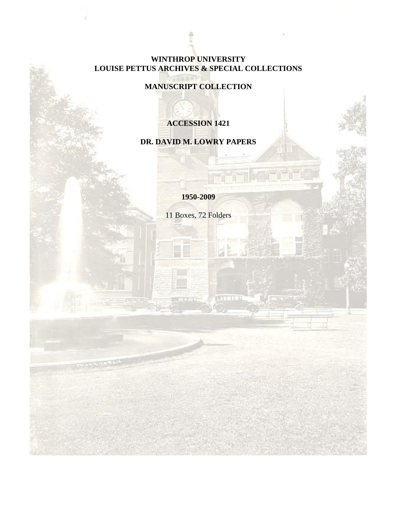#### **WINTHROP UNIVERSITY LOUISE PETTUS ARCHIVES & SPECIAL COLLECTIONS**

**MANUSCRIPT COLLECTION**

## **ACCESSION 1421**

## **DR. DAVID M. LOWRY PAPERS**

**1950-2009**

11 Boxes, 72 Folders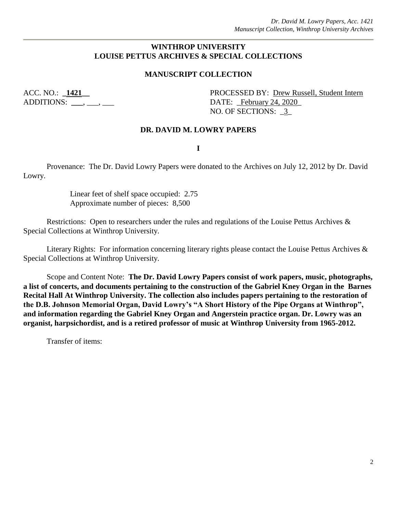#### **WINTHROP UNIVERSITY LOUISE PETTUS ARCHIVES & SPECIAL COLLECTIONS**

#### **MANUSCRIPT COLLECTION**

ACC. NO.: **\_1421\_\_** PROCESSED BY: <u>Drew Russell, Student Intern</u> ADDITIONS: **\_\_\_**, \_\_\_, \_\_\_ DATE: \_February 24, 2020\_ NO. OF SECTIONS: 3

#### **DR. DAVID M. LOWRY PAPERS**

**I**

Provenance: The Dr. David Lowry Papers were donated to the Archives on July 12, 2012 by Dr. David Lowry.

> Linear feet of shelf space occupied: 2.75 Approximate number of pieces: 8,500

Restrictions: Open to researchers under the rules and regulations of the Louise Pettus Archives & Special Collections at Winthrop University.

Literary Rights: For information concerning literary rights please contact the Louise Pettus Archives & Special Collections at Winthrop University.

Scope and Content Note: **The Dr. David Lowry Papers consist of work papers, music, photographs, a list of concerts, and documents pertaining to the construction of the Gabriel Kney Organ in the Barnes Recital Hall At Winthrop University. The collection also includes papers pertaining to the restoration of the D.B. Johnson Memorial Organ, David Lowry's "A Short History of the Pipe Organs at Winthrop", and information regarding the Gabriel Kney Organ and Angerstein practice organ. Dr. Lowry was an organist, harpsichordist, and is a retired professor of music at Winthrop University from 1965-2012.**

Transfer of items: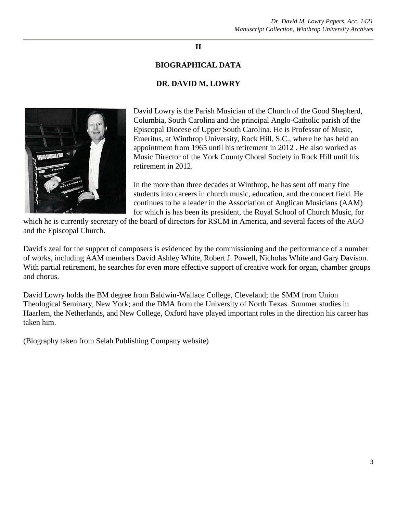#### **II**

#### **BIOGRAPHICAL DATA**

#### **DR. DAVID M. LOWRY**



David Lowry is the Parish Musician of the Church of the Good Shepherd, Columbia, South Carolina and the principal Anglo-Catholic parish of the Episcopal Diocese of Upper South Carolina. He is Professor of Music, Emeritus, at Winthrop University, Rock Hill, S.C., where he has held an appointment from 1965 until his retirement in 2012 . He also worked as Music Director of the York County Choral Society in Rock Hill until his retirement in 2012.

In the more than three decades at Winthrop, he has sent off many fine students into careers in church music, education, and the concert field. He continues to be a leader in the Association of Anglican Musicians (AAM) for which is has been its president, the Royal School of Church Music, for

which he is currently secretary of the board of directors for RSCM in America, and several facets of the AGO and the Episcopal Church.

David's zeal for the support of composers is evidenced by the commissioning and the performance of a number of works, including AAM members David Ashley White, Robert J. Powell, Nicholas White and Gary Davison. With partial retirement, he searches for even more effective support of creative work for organ, chamber groups and chorus.

David Lowry holds the BM degree from Baldwin-Wallace College, Cleveland; the SMM from Union Theological Seminary, New York; and the DMA from the University of North Texas. Summer studies in Haarlem, the Netherlands, and New College, Oxford have played important roles in the direction his career has taken him.

(Biography taken from Selah Publishing Company website)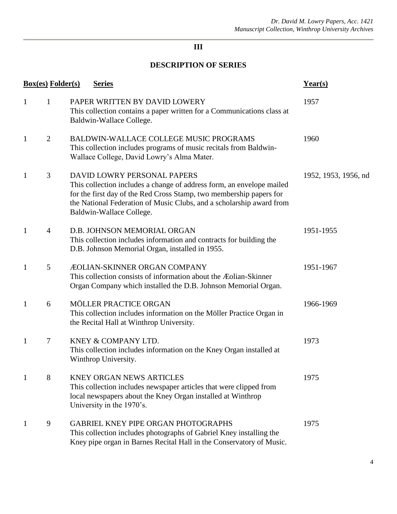## **DESCRIPTION OF SERIES**

|              | <b>Box(es)</b> Folder(s) | <b>Series</b>                                                                                                                                                                                                                                                                   | Year(s)              |
|--------------|--------------------------|---------------------------------------------------------------------------------------------------------------------------------------------------------------------------------------------------------------------------------------------------------------------------------|----------------------|
| $\mathbf{1}$ | 1                        | PAPER WRITTEN BY DAVID LOWERY<br>This collection contains a paper written for a Communications class at<br>Baldwin-Wallace College.                                                                                                                                             | 1957                 |
| $\mathbf{1}$ | 2                        | BALDWIN-WALLACE COLLEGE MUSIC PROGRAMS<br>This collection includes programs of music recitals from Baldwin-<br>Wallace College, David Lowry's Alma Mater.                                                                                                                       | 1960                 |
| $\mathbf{1}$ | 3                        | DAVID LOWRY PERSONAL PAPERS<br>This collection includes a change of address form, an envelope mailed<br>for the first day of the Red Cross Stamp, two membership papers for<br>the National Federation of Music Clubs, and a scholarship award from<br>Baldwin-Wallace College. | 1952, 1953, 1956, nd |
| $\mathbf{1}$ | $\overline{4}$           | D.B. JOHNSON MEMORIAL ORGAN<br>This collection includes information and contracts for building the<br>D.B. Johnson Memorial Organ, installed in 1955.                                                                                                                           | 1951-1955            |
| $\mathbf{1}$ | 5                        | <b>ÆOLIAN-SKINNER ORGAN COMPANY</b><br>This collection consists of information about the Æolian-Skinner<br>Organ Company which installed the D.B. Johnson Memorial Organ.                                                                                                       | 1951-1967            |
| $\mathbf{1}$ | 6                        | MÖLLER PRACTICE ORGAN<br>This collection includes information on the Möller Practice Organ in<br>the Recital Hall at Winthrop University.                                                                                                                                       | 1966-1969            |
| $\mathbf{1}$ | $\overline{7}$           | KNEY & COMPANY LTD.<br>This collection includes information on the Kney Organ installed at<br>Winthrop University.                                                                                                                                                              | 1973                 |
| $\mathbf{1}$ | 8                        | <b>KNEY ORGAN NEWS ARTICLES</b><br>This collection includes newspaper articles that were clipped from<br>local newspapers about the Kney Organ installed at Winthrop<br>University in the 1970's.                                                                               | 1975                 |
| 1            | 9                        | <b>GABRIEL KNEY PIPE ORGAN PHOTOGRAPHS</b><br>This collection includes photographs of Gabriel Kney installing the<br>Kney pipe organ in Barnes Recital Hall in the Conservatory of Music.                                                                                       | 1975                 |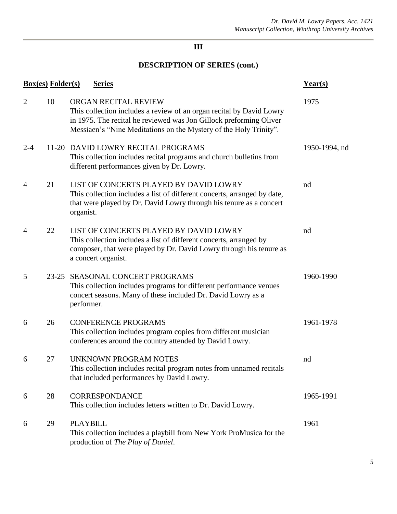|                | <b>Box(es)</b> Folder(s) | <b>Series</b>                                                                                                                                                                                                                           | $Year(s)$     |
|----------------|--------------------------|-----------------------------------------------------------------------------------------------------------------------------------------------------------------------------------------------------------------------------------------|---------------|
| $\overline{2}$ | 10                       | ORGAN RECITAL REVIEW<br>This collection includes a review of an organ recital by David Lowry<br>in 1975. The recital he reviewed was Jon Gillock preforming Oliver<br>Messiaen's "Nine Meditations on the Mystery of the Holy Trinity". | 1975          |
| $2 - 4$        |                          | 11-20 DAVID LOWRY RECITAL PROGRAMS<br>This collection includes recital programs and church bulletins from<br>different performances given by Dr. Lowry.                                                                                 | 1950-1994, nd |
| $\overline{4}$ | 21                       | LIST OF CONCERTS PLAYED BY DAVID LOWRY<br>This collection includes a list of different concerts, arranged by date,<br>that were played by Dr. David Lowry through his tenure as a concert<br>organist.                                  | nd            |
| 4              | 22                       | LIST OF CONCERTS PLAYED BY DAVID LOWRY<br>This collection includes a list of different concerts, arranged by<br>composer, that were played by Dr. David Lowry through his tenure as<br>a concert organist.                              | nd            |
| 5              | $23 - 25$                | SEASONAL CONCERT PROGRAMS<br>This collection includes programs for different performance venues<br>concert seasons. Many of these included Dr. David Lowry as a<br>performer.                                                           | 1960-1990     |
| 6              | 26                       | <b>CONFERENCE PROGRAMS</b><br>This collection includes program copies from different musician<br>conferences around the country attended by David Lowry.                                                                                | 1961-1978     |
| 6              | 27                       | <b>UNKNOWN PROGRAM NOTES</b><br>This collection includes recital program notes from unnamed recitals<br>that included performances by David Lowry.                                                                                      | nd            |
| 6              | 28                       | CORRESPONDANCE<br>This collection includes letters written to Dr. David Lowry.                                                                                                                                                          | 1965-1991     |
| 6              | 29                       | <b>PLAYBILL</b><br>This collection includes a playbill from New York ProMusica for the<br>production of The Play of Daniel.                                                                                                             | 1961          |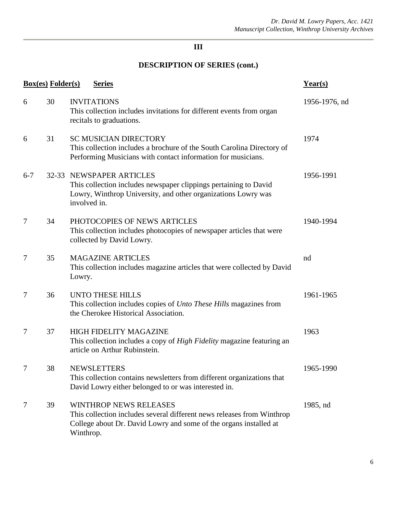| <b>Box(es)</b> Folder(s)<br><b>Series</b> |    |                                                                                                                                                                                           | Year(s)       |
|-------------------------------------------|----|-------------------------------------------------------------------------------------------------------------------------------------------------------------------------------------------|---------------|
| 6                                         | 30 | <b>INVITATIONS</b><br>This collection includes invitations for different events from organ<br>recitals to graduations.                                                                    | 1956-1976, nd |
| 6                                         | 31 | <b>SC MUSICIAN DIRECTORY</b><br>This collection includes a brochure of the South Carolina Directory of<br>Performing Musicians with contact information for musicians.                    | 1974          |
| $6 - 7$                                   |    | 32-33 NEWSPAPER ARTICLES<br>This collection includes newspaper clippings pertaining to David<br>Lowry, Winthrop University, and other organizations Lowry was<br>involved in.             | 1956-1991     |
| 7                                         | 34 | PHOTOCOPIES OF NEWS ARTICLES<br>This collection includes photocopies of newspaper articles that were<br>collected by David Lowry.                                                         | 1940-1994     |
| 7                                         | 35 | <b>MAGAZINE ARTICLES</b><br>This collection includes magazine articles that were collected by David<br>Lowry.                                                                             | nd            |
| 7                                         | 36 | <b>UNTO THESE HILLS</b><br>This collection includes copies of <i>Unto These Hills</i> magazines from<br>the Cherokee Historical Association.                                              | 1961-1965     |
| 7                                         | 37 | <b>HIGH FIDELITY MAGAZINE</b><br>This collection includes a copy of High Fidelity magazine featuring an<br>article on Arthur Rubinstein.                                                  | 1963          |
| 7                                         | 38 | <b>NEWSLETTERS</b><br>This collection contains newsletters from different organizations that<br>David Lowry either belonged to or was interested in.                                      | 1965-1990     |
| 7                                         | 39 | <b>WINTHROP NEWS RELEASES</b><br>This collection includes several different news releases from Winthrop<br>College about Dr. David Lowry and some of the organs installed at<br>Winthrop. | 1985, nd      |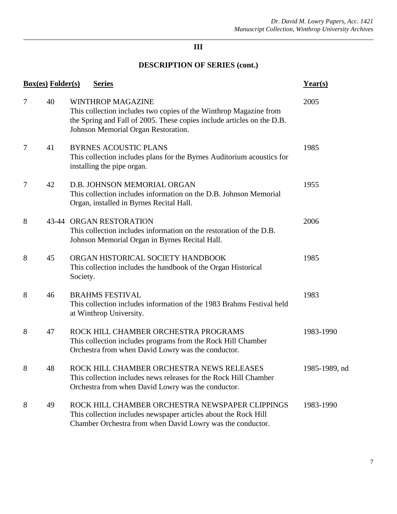| <b>Box(es)</b> Folder(s)<br><b>Series</b> |    |                                                                                                                                                                                                                | Year(s)       |  |
|-------------------------------------------|----|----------------------------------------------------------------------------------------------------------------------------------------------------------------------------------------------------------------|---------------|--|
| 7                                         | 40 | <b>WINTHROP MAGAZINE</b><br>This collection includes two copies of the Winthrop Magazine from<br>the Spring and Fall of 2005. These copies include articles on the D.B.<br>Johnson Memorial Organ Restoration. | 2005          |  |
| 7                                         | 41 | <b>BYRNES ACOUSTIC PLANS</b><br>This collection includes plans for the Byrnes Auditorium acoustics for<br>installing the pipe organ.                                                                           | 1985          |  |
| 7                                         | 42 | D.B. JOHNSON MEMORIAL ORGAN<br>This collection includes information on the D.B. Johnson Memorial<br>Organ, installed in Byrnes Recital Hall.                                                                   | 1955          |  |
| 8                                         |    | 43-44 ORGAN RESTORATION<br>This collection includes information on the restoration of the D.B.<br>Johnson Memorial Organ in Byrnes Recital Hall.                                                               | 2006          |  |
| 8                                         | 45 | ORGAN HISTORICAL SOCIETY HANDBOOK<br>This collection includes the handbook of the Organ Historical<br>Society.                                                                                                 | 1985          |  |
| 8                                         | 46 | <b>BRAHMS FESTIVAL</b><br>This collection includes information of the 1983 Brahms Festival held<br>at Winthrop University.                                                                                     | 1983          |  |
| 8                                         | 47 | ROCK HILL CHAMBER ORCHESTRA PROGRAMS<br>This collection includes programs from the Rock Hill Chamber<br>Orchestra from when David Lowry was the conductor.                                                     | 1983-1990     |  |
| 8                                         | 48 | ROCK HILL CHAMBER ORCHESTRA NEWS RELEASES<br>This collection includes news releases for the Rock Hill Chamber<br>Orchestra from when David Lowry was the conductor.                                            | 1985-1989, nd |  |
| 8                                         | 49 | ROCK HILL CHAMBER ORCHESTRA NEWSPAPER CLIPPINGS<br>This collection includes newspaper articles about the Rock Hill<br>Chamber Orchestra from when David Lowry was the conductor.                               | 1983-1990     |  |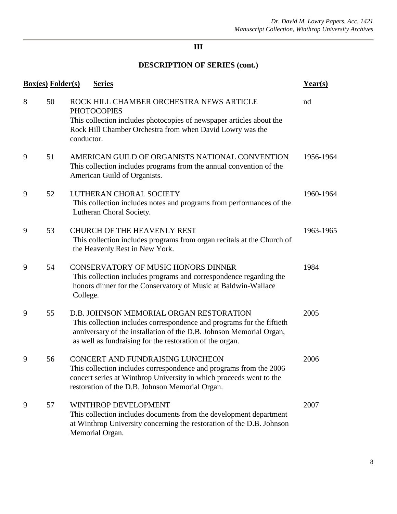|   | <b>Box(es)</b> Folder(s) | <b>Series</b>                                                                                                                                                                                                                                       | Year(s)   |
|---|--------------------------|-----------------------------------------------------------------------------------------------------------------------------------------------------------------------------------------------------------------------------------------------------|-----------|
| 8 | 50                       | ROCK HILL CHAMBER ORCHESTRA NEWS ARTICLE<br><b>PHOTOCOPIES</b><br>This collection includes photocopies of newspaper articles about the<br>Rock Hill Chamber Orchestra from when David Lowry was the<br>conductor.                                   | nd        |
| 9 | 51                       | AMERICAN GUILD OF ORGANISTS NATIONAL CONVENTION<br>This collection includes programs from the annual convention of the<br>American Guild of Organists.                                                                                              | 1956-1964 |
| 9 | 52                       | LUTHERAN CHORAL SOCIETY<br>This collection includes notes and programs from performances of the<br>Lutheran Choral Society.                                                                                                                         | 1960-1964 |
| 9 | 53                       | <b>CHURCH OF THE HEAVENLY REST</b><br>This collection includes programs from organ recitals at the Church of<br>the Heavenly Rest in New York.                                                                                                      | 1963-1965 |
| 9 | 54                       | CONSERVATORY OF MUSIC HONORS DINNER<br>This collection includes programs and correspondence regarding the<br>honors dinner for the Conservatory of Music at Baldwin-Wallace<br>College.                                                             | 1984      |
| 9 | 55                       | D.B. JOHNSON MEMORIAL ORGAN RESTORATION<br>This collection includes correspondence and programs for the fiftieth<br>anniversary of the installation of the D.B. Johnson Memorial Organ,<br>as well as fundraising for the restoration of the organ. | 2005      |
| 9 | 56                       | CONCERT AND FUNDRAISING LUNCHEON<br>This collection includes correspondence and programs from the 2006<br>concert series at Winthrop University in which proceeds went to the<br>restoration of the D.B. Johnson Memorial Organ.                    | 2006      |
| 9 | 57                       | WINTHROP DEVELOPMENT<br>This collection includes documents from the development department<br>at Winthrop University concerning the restoration of the D.B. Johnson<br>Memorial Organ.                                                              | 2007      |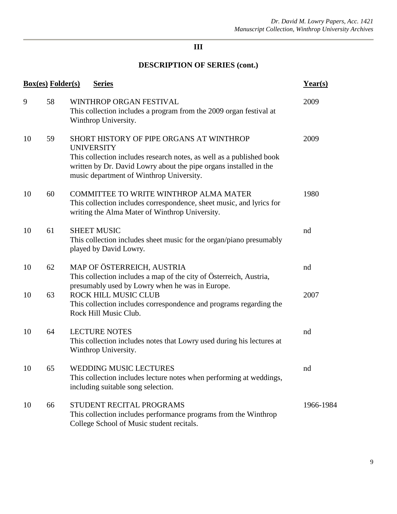| <b>Box(es)</b> Folder(s)<br><b>Series</b> |    |                                                                                                                                                                                                                                                        | Year(s)   |
|-------------------------------------------|----|--------------------------------------------------------------------------------------------------------------------------------------------------------------------------------------------------------------------------------------------------------|-----------|
| 9                                         | 58 | WINTHROP ORGAN FESTIVAL<br>This collection includes a program from the 2009 organ festival at<br>Winthrop University.                                                                                                                                  | 2009      |
| 10                                        | 59 | SHORT HISTORY OF PIPE ORGANS AT WINTHROP<br><b>UNIVERSITY</b><br>This collection includes research notes, as well as a published book<br>written by Dr. David Lowry about the pipe organs installed in the<br>music department of Winthrop University. | 2009      |
| 10                                        | 60 | COMMITTEE TO WRITE WINTHROP ALMA MATER<br>This collection includes correspondence, sheet music, and lyrics for<br>writing the Alma Mater of Winthrop University.                                                                                       | 1980      |
| 10                                        | 61 | <b>SHEET MUSIC</b><br>This collection includes sheet music for the organ/piano presumably<br>played by David Lowry.                                                                                                                                    | nd        |
| 10                                        | 62 | MAP OF ÖSTERREICH, AUSTRIA<br>This collection includes a map of the city of Österreich, Austria,                                                                                                                                                       | nd        |
| 10                                        | 63 | presumably used by Lowry when he was in Europe.<br>ROCK HILL MUSIC CLUB<br>This collection includes correspondence and programs regarding the<br>Rock Hill Music Club.                                                                                 | 2007      |
| 10                                        | 64 | <b>LECTURE NOTES</b><br>This collection includes notes that Lowry used during his lectures at<br>Winthrop University.                                                                                                                                  | nd        |
| 10                                        | 65 | <b>WEDDING MUSIC LECTURES</b><br>This collection includes lecture notes when performing at weddings,<br>including suitable song selection.                                                                                                             | nd        |
| 10                                        | 66 | STUDENT RECITAL PROGRAMS<br>This collection includes performance programs from the Winthrop<br>College School of Music student recitals.                                                                                                               | 1966-1984 |